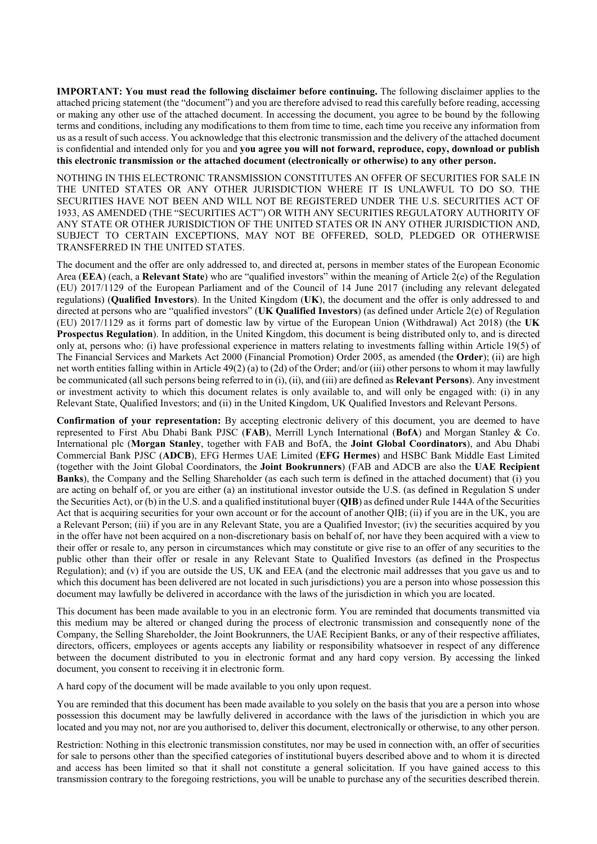**IMPORTANT: You must read the following disclaimer before continuing.** The following disclaimer applies to the attached pricing statement (the "document") and you are therefore advised to read this carefully before reading, accessing or making any other use of the attached document. In accessing the document, you agree to be bound by the following terms and conditions, including any modifications to them from time to time, each time you receive any information from us as a result of such access. You acknowledge that this electronic transmission and the delivery of the attached document is confidential and intended only for you and **you agree you will not forward, reproduce, copy, download or publish this electronic transmission or the attached document (electronically or otherwise) to any other person.**

NOTHING IN THIS ELECTRONIC TRANSMISSION CONSTITUTES AN OFFER OF SECURITIES FOR SALE IN THE UNITED STATES OR ANY OTHER JURISDICTION WHERE IT IS UNLAWFUL TO DO SO. THE SECURITIES HAVE NOT BEEN AND WILL NOT BE REGISTERED UNDER THE U.S. SECURITIES ACT OF 1933, AS AMENDED (THE "SECURITIES ACT") OR WITH ANY SECURITIES REGULATORY AUTHORITY OF ANY STATE OR OTHER JURISDICTION OF THE UNITED STATES OR IN ANY OTHER JURISDICTION AND, SUBJECT TO CERTAIN EXCEPTIONS, MAY NOT BE OFFERED, SOLD, PLEDGED OR OTHERWISE TRANSFERRED IN THE UNITED STATES.

The document and the offer are only addressed to, and directed at, persons in member states of the European Economic Area (**EEA**) (each, a **Relevant State**) who are "qualified investors" within the meaning of Article 2(e) of the Regulation (EU) 2017/1129 of the European Parliament and of the Council of 14 June 2017 (including any relevant delegated regulations) (**Qualified Investors**). In the United Kingdom (**UK**), the document and the offer is only addressed to and directed at persons who are "qualified investors" (**UK Qualified Investors**) (as defined under Article 2(e) of Regulation (EU) 2017/1129 as it forms part of domestic law by virtue of the European Union (Withdrawal) Act 2018) (the **UK Prospectus Regulation**). In addition, in the United Kingdom, this document is being distributed only to, and is directed only at, persons who: (i) have professional experience in matters relating to investments falling within Article 19(5) of The Financial Services and Markets Act 2000 (Financial Promotion) Order 2005, as amended (the **Order**); (ii) are high net worth entities falling within in Article 49(2) (a) to (2d) of the Order; and/or (iii) other persons to whom it may lawfully be communicated (all such persons being referred to in (i), (ii), and (iii) are defined as **Relevant Persons**). Any investment or investment activity to which this document relates is only available to, and will only be engaged with: (i) in any Relevant State, Qualified Investors; and (ii) in the United Kingdom, UK Qualified Investors and Relevant Persons.

**Confirmation of your representation:** By accepting electronic delivery of this document, you are deemed to have represented to First Abu Dhabi Bank PJSC (**FAB**), Merrill Lynch International (**BofA**) and Morgan Stanley & Co. International plc (**Morgan Stanley**, together with FAB and BofA, the **Joint Global Coordinators**), and Abu Dhabi Commercial Bank PJSC (**ADCB**), EFG Hermes UAE Limited (**EFG Hermes**) and HSBC Bank Middle East Limited (together with the Joint Global Coordinators, the **Joint Bookrunners**) (FAB and ADCB are also the **UAE Recipient Banks**), the Company and the Selling Shareholder (as each such term is defined in the attached document) that (i) you are acting on behalf of, or you are either (a) an institutional investor outside the U.S. (as defined in Regulation S under the Securities Act), or (b) in the U.S. and a qualified institutional buyer (**QIB**) as defined under Rule 144A of the Securities Act that is acquiring securities for your own account or for the account of another QIB; (ii) if you are in the UK, you are a Relevant Person; (iii) if you are in any Relevant State, you are a Qualified Investor; (iv) the securities acquired by you in the offer have not been acquired on a non-discretionary basis on behalf of, nor have they been acquired with a view to their offer or resale to, any person in circumstances which may constitute or give rise to an offer of any securities to the public other than their offer or resale in any Relevant State to Qualified Investors (as defined in the Prospectus Regulation); and (v) if you are outside the US, UK and EEA (and the electronic mail addresses that you gave us and to which this document has been delivered are not located in such jurisdictions) you are a person into whose possession this document may lawfully be delivered in accordance with the laws of the jurisdiction in which you are located.

This document has been made available to you in an electronic form. You are reminded that documents transmitted via this medium may be altered or changed during the process of electronic transmission and consequently none of the Company, the Selling Shareholder, the Joint Bookrunners, the UAE Recipient Banks, or any of their respective affiliates, directors, officers, employees or agents accepts any liability or responsibility whatsoever in respect of any difference between the document distributed to you in electronic format and any hard copy version. By accessing the linked document, you consent to receiving it in electronic form.

A hard copy of the document will be made available to you only upon request.

You are reminded that this document has been made available to you solely on the basis that you are a person into whose possession this document may be lawfully delivered in accordance with the laws of the jurisdiction in which you are located and you may not, nor are you authorised to, deliver this document, electronically or otherwise, to any other person.

Restriction: Nothing in this electronic transmission constitutes, nor may be used in connection with, an offer of securities for sale to persons other than the specified categories of institutional buyers described above and to whom it is directed and access has been limited so that it shall not constitute a general solicitation. If you have gained access to this transmission contrary to the foregoing restrictions, you will be unable to purchase any of the securities described therein.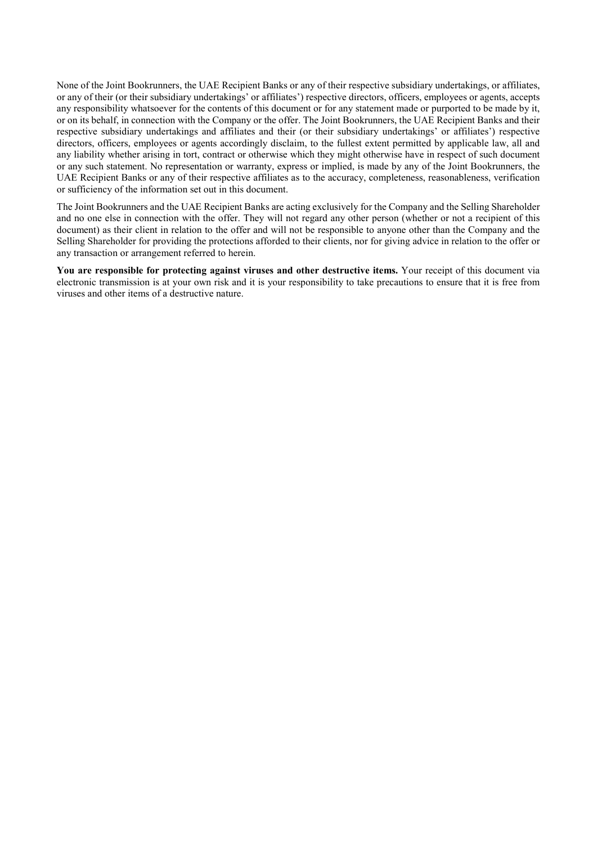None of the Joint Bookrunners, the UAE Recipient Banks or any of their respective subsidiary undertakings, or affiliates, or any of their (or their subsidiary undertakings' or affiliates') respective directors, officers, employees or agents, accepts any responsibility whatsoever for the contents of this document or for any statement made or purported to be made by it, or on its behalf, in connection with the Company or the offer. The Joint Bookrunners, the UAE Recipient Banks and their respective subsidiary undertakings and affiliates and their (or their subsidiary undertakings' or affiliates') respective directors, officers, employees or agents accordingly disclaim, to the fullest extent permitted by applicable law, all and any liability whether arising in tort, contract or otherwise which they might otherwise have in respect of such document or any such statement. No representation or warranty, express or implied, is made by any of the Joint Bookrunners, the UAE Recipient Banks or any of their respective affiliates as to the accuracy, completeness, reasonableness, verification or sufficiency of the information set out in this document.

The Joint Bookrunners and the UAE Recipient Banks are acting exclusively for the Company and the Selling Shareholder and no one else in connection with the offer. They will not regard any other person (whether or not a recipient of this document) as their client in relation to the offer and will not be responsible to anyone other than the Company and the Selling Shareholder for providing the protections afforded to their clients, nor for giving advice in relation to the offer or any transaction or arrangement referred to herein.

**You are responsible for protecting against viruses and other destructive items.** Your receipt of this document via electronic transmission is at your own risk and it is your responsibility to take precautions to ensure that it is free from viruses and other items of a destructive nature.